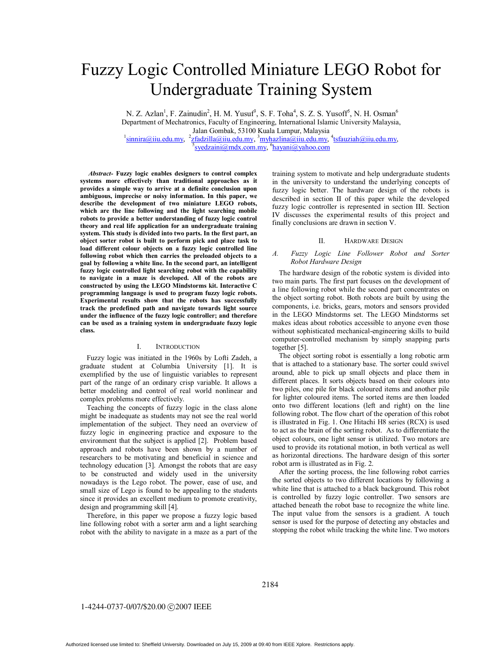# Fuzzy Logic Controlled Miniature LEGO Robot for Undergraduate Training System

N. Z. Azlan<sup>1</sup>, F. Zainudin<sup>2</sup>, H. M. Yusuf<sup>3</sup>, S. F. Toha<sup>4</sup>, S. Z. S. Yusoff<sup>5</sup>, N. H. Osman<sup>6</sup> Department of Mechatronics, Faculty of Engineering, International Islamic University Malaysia, Jalan Gombak, 53100 Kuala Lumpur, Malaysia 1

 $\frac{\sin n \pi a}{\sin \theta}$ iiu.edu.my, <sup>2</sup>zfadzilla@iiu.edu.my, <sup>3</sup>myhazlina@iiu.edu.my, <sup>4</sup>tsfauziah@iiu.edu.my, syedzaini@mdx.com.my, hayani@yahoo.com

*Abstract-* **Fuzzy logic enables designers to control complex systems more effectively than traditional approaches as it provides a simple way to arrive at a definite conclusion upon ambiguous, imprecise or noisy information. In this paper, we describe the development of two miniature LEGO robots, which are the line following and the light searching mobile robots to provide a better understanding of fuzzy logic control theory and real life application for an undergraduate training system. This study is divided into two parts. In the first part, an object sorter robot is built to perform pick and place task to load different colour objects on a fuzzy logic controlled line following robot which then carries the preloaded objects to a goal by following a white line. In the second part, an intelligent fuzzy logic controlled light searching robot with the capability to navigate in a maze is developed. All of the robots are constructed by using the LEGO Mindstorms kit. Interactive C programming language is used to program fuzzy logic robots. Experimental results show that the robots has successfully track the predefined path and navigate towards light source under the influence of the fuzzy logic controller; and therefore can be used as a training system in undergraduate fuzzy logic class.**

#### I. INTRODUCTION

Fuzzy logic was initiated in the 1960s by Lofti Zadeh, a graduate student at Columbia University [1]. It is exemplified by the use of linguistic variables to represent part of the range of an ordinary crisp variable. It allows a better modeling and control of real world nonlinear and complex problems more effectively.

Teaching the concepts of fuzzy logic in the class alone might be inadequate as students may not see the real world implementation of the subject. They need an overview of fuzzy logic in engineering practice and exposure to the environment that the subject is applied [2]. Problem based approach and robots have been shown by a number of researchers to be motivating and beneficial in science and technology education [3]. Amongst the robots that are easy to be constructed and widely used in the university nowadays is the Lego robot. The power, ease of use, and small size of Lego is found to be appealing to the students since it provides an excellent medium to promote creativity, design and programming skill [4].

Therefore, in this paper we propose a fuzzy logic based line following robot with a sorter arm and a light searching robot with the ability to navigate in a maze as a part of the training system to motivate and help undergraduate students in the university to understand the underlying concepts of fuzzy logic better. The hardware design of the robots is described in section II of this paper while the developed fuzzy logic controller is represented in section III. Section IV discusses the experimental results of this project and finally conclusions are drawn in section V.

#### II. HARDWARE DESIGN

#### *A. Fuzzy Logic Line Follower Robot and Sorter Robot Hardware Design*

The hardware design of the robotic system is divided into two main parts. The first part focuses on the development of a line following robot while the second part concentrates on the object sorting robot. Both robots are built by using the components, i.e. bricks, gears, motors and sensors provided in the LEGO Mindstorms set. The LEGO Mindstorms set makes ideas about robotics accessible to anyone even those without sophisticated mechanical-engineering skills to build computer-controlled mechanism by simply snapping parts together [5].

The object sorting robot is essentially a long robotic arm that is attached to a stationary base. The sorter could swivel around, able to pick up small objects and place them in different places. It sorts objects based on their colours into two piles, one pile for black coloured items and another pile for lighter coloured items. The sorted items are then loaded onto two different locations (left and right) on the line following robot. The flow chart of the operation of this robot is illustrated in Fig. 1. One Hitachi H8 series (RCX) is used to act as the brain of the sorting robot. As to differentiate the object colours, one light sensor is utilized. Two motors are used to provide its rotational motion, in both vertical as well as horizontal directions. The hardware design of this sorter robot arm is illustrated as in Fig. 2.

After the sorting process, the line following robot carries the sorted objects to two different locations by following a white line that is attached to a black background. This robot is controlled by fuzzy logic controller. Two sensors are attached beneath the robot base to recognize the white line. The input value from the sensors is a gradient. A touch sensor is used for the purpose of detecting any obstacles and stopping the robot while tracking the white line. Two motors

2184

# 1-4244-0737-0/07/\$20.00 © 2007 IEEE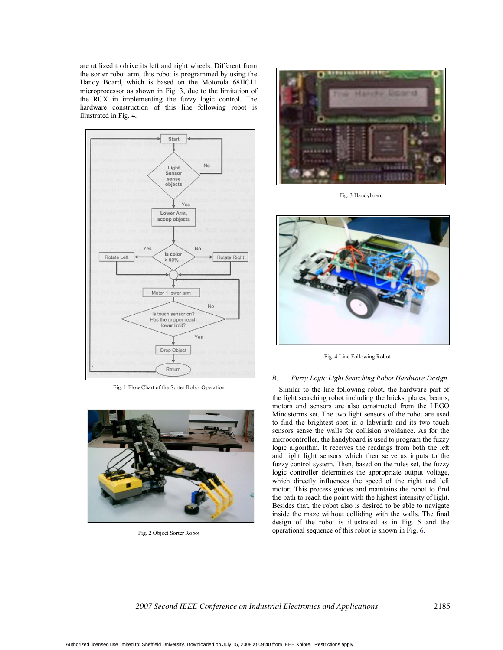are utilized to drive its left and right wheels. Different from the sorter robot arm, this robot is programmed by using the Handy Board, which is based on the Motorola 68HC11 microprocessor as shown in Fig. 3, due to the limitation of the RCX in implementing the fuzzy logic control. The hardware construction of this line following robot is illustrated in Fig. 4.



Fig. 1 Flow Chart of the Sorter Robot Operation



Fig. 2 Object Sorter Robot



Fig. 3 Handyboard



Fig. 4 Line Following Robot

## *B*. *Fuzzy Logic Light Searching Robot Hardware Design*

Similar to the line following robot, the hardware part of the light searching robot including the bricks, plates, beams, motors and sensors are also constructed from the LEGO Mindstorms set. The two light sensors of the robot are used to find the brightest spot in a labyrinth and its two touch sensors sense the walls for collision avoidance. As for the microcontroller, the handyboard is used to program the fuzzy logic algorithm. It receives the readings from both the left and right light sensors which then serve as inputs to the fuzzy control system. Then, based on the rules set, the fuzzy logic controller determines the appropriate output voltage, which directly influences the speed of the right and left motor. This process guides and maintains the robot to find the path to reach the point with the highest intensity of light. Besides that, the robot also is desired to be able to navigate inside the maze without colliding with the walls. The final design of the robot is illustrated as in Fig. 5 and the operational sequence of this robot is shown in Fig. 6.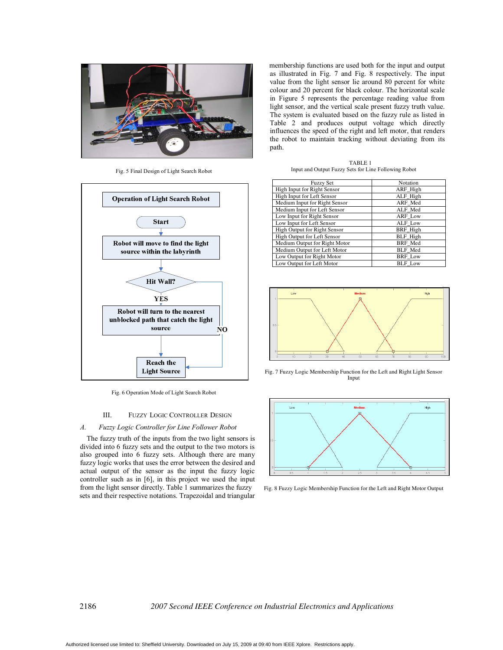

Fig. 5 Final Design of Light Search Robot



Fig. 6 Operation Mode of Light Search Robot

# III. FUZZY LOGIC CONTROLLER DESIGN

#### *A. Fuzzy Logic Controller for Line Follower Robot*

The fuzzy truth of the inputs from the two light sensors is divided into 6 fuzzy sets and the output to the two motors is also grouped into 6 fuzzy sets. Although there are many fuzzy logic works that uses the error between the desired and actual output of the sensor as the input the fuzzy logic controller such as in [6], in this project we used the input from the light sensor directly. Table 1 summarizes the fuzzy sets and their respective notations. Trapezoidal and triangular

membership functions are used both for the input and output as illustrated in Fig. 7 and Fig. 8 respectively. The input value from the light sensor lie around 80 percent for white colour and 20 percent for black colour. The horizontal scale in Figure 5 represents the percentage reading value from light sensor, and the vertical scale present fuzzy truth value. The system is evaluated based on the fuzzy rule as listed in Table 2 and produces output voltage which directly influences the speed of the right and left motor, that renders the robot to maintain tracking without deviating from its path.

TABLE 1 Input and Output Fuzzy Sets for Line Following Robot

| <b>Fuzzy Set</b>                    | Notation        |
|-------------------------------------|-----------------|
| High Input for Right Sensor         | ARF_High        |
| High Input for Left Sensor          | ALF_High        |
| Medium Input for Right Sensor       | ARF Med         |
| Medium Input for Left Sensor        | ALF Med         |
| Low Input for Right Sensor          | ARF Low         |
| Low Input for Left Sensor           | ALF Low         |
| <b>High Output for Right Sensor</b> | BRF High        |
| High Output for Left Sensor         | <b>BLF</b> High |
| Medium Output for Right Motor       | <b>BRF</b> Med  |
| Medium Output for Left Motor        | <b>BLF</b> Med  |
| Low Output for Right Motor          | BRF_Low         |
| Low Output for Left Motor           | <b>BLF</b> Low  |



Fig. 7 Fuzzy Logic Membership Function for the Left and Right Light Sensor Input



Fig. 8 Fuzzy Logic Membership Function for the Left and Right Motor Output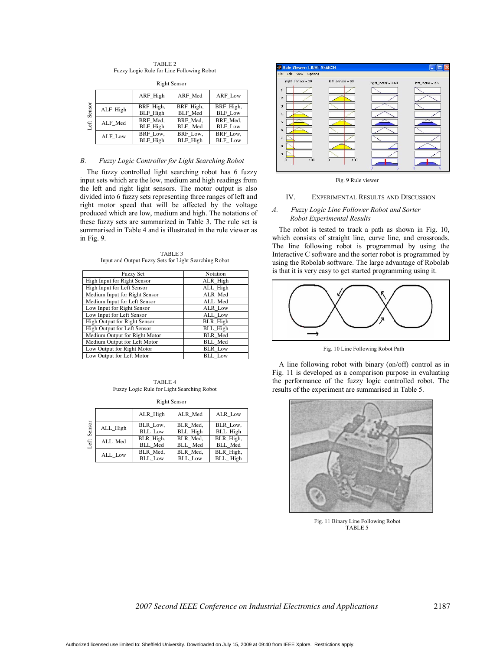TABLE 2 Fuzzy Logic Rule for Line Following Robot

Right Sensor

|        |          | ARF High                     | ARF Med                     | <b>ARF</b> Low              |
|--------|----------|------------------------------|-----------------------------|-----------------------------|
| Sensor | ALF High | BRF High,<br><b>BLF</b> High | BRF_High,<br>BLF Med        | BRF_High,<br><b>BLF</b> Low |
| Left   | ALF Med  | BRF Med.<br>BLF_High         | BRF Med.<br>BLF Med         | BRF Med.<br><b>BLF</b> Low  |
|        | ALF Low  | BRF Low,<br><b>BLF</b> High  | BRF_Low,<br><b>BLF</b> High | BRF Low,<br><b>BLF</b> Low  |

### *B. Fuzzy Logic Controller for Light Searching Robot*

The fuzzy controlled light searching robot has 6 fuzzy input sets which are the low, medium and high readings from the left and right light sensors. The motor output is also divided into 6 fuzzy sets representing three ranges of left and right motor speed that will be affected by the voltage produced which are low, medium and high. The notations of these fuzzy sets are summarized in Table 3. The rule set is summarised in Table 4 and is illustrated in the rule viewer as in Fig. 9.

TABLE 3 Input and Output Fuzzy Sets for Light Searching Robot

| <b>Fuzzy Set</b>                    | Notation        |
|-------------------------------------|-----------------|
| High Input for Right Sensor         | ALR_High        |
| High Input for Left Sensor          | ALL_High        |
| Medium Input for Right Sensor       | ALR Med         |
| Medium Input for Left Sensor        | ALL Med         |
| Low Input for Right Sensor          | ALR Low         |
| Low Input for Left Sensor           | ALL Low         |
| <b>High Output for Right Sensor</b> | <b>BLR</b> High |
| High Output for Left Sensor         | BLL High        |
| Medium Output for Right Motor       | <b>BLR</b> Med  |
| Medium Output for Left Motor        | <b>BLL</b> Med  |
| Low Output for Right Motor          | <b>BLR</b> Low  |
| Low Output for Left Motor           | <b>BLL</b> Low  |

TABLE 4 Fuzzy Logic Rule for Light Searching Robot

|        | <b>Right Sensor</b> |                             |                             |                             |
|--------|---------------------|-----------------------------|-----------------------------|-----------------------------|
|        |                     | ALR High                    | ALR Med                     | ALR Low                     |
| Sensor | ALL_High            | BLR Low,<br><b>BLL</b> Low  | BLR Med,<br><b>BLL</b> High | BLR Low,<br>BLL High        |
| Left   | ALL Med             | BLR High,<br><b>BLL</b> Med | BLR Med.<br>BLL Med         | BLR High,<br><b>BLL</b> Med |
|        | ALL Low             | BLR Med,<br><b>BLL</b> Low  | BLR Med,<br><b>BLL</b> Low  | BLR High,<br>BLL High       |



Fig. 9 Rule viewer

#### IV. EXPERIMENTAL RESULTS AND DISCUSSION

#### *A. Fuzzy Logic Line Follower Robot and Sorter Robot Experimental Results*

The robot is tested to track a path as shown in Fig. 10, which consists of straight line, curve line, and crossroads. The line following robot is programmed by using the Interactive C software and the sorter robot is programmed by using the Robolab software. The large advantage of Robolab is that it is very easy to get started programming using it.



Fig. 10 Line Following Robot Path

A line following robot with binary (on/off) control as in Fig. 11 is developed as a comparison purpose in evaluating the performance of the fuzzy logic controlled robot. The results of the experiment are summarised in Table 5.



Fig. 11 Binary Line Following Robot TABLE 5

*2007 Second IEEE Conference on Industrial Electronics and Applications* 2187